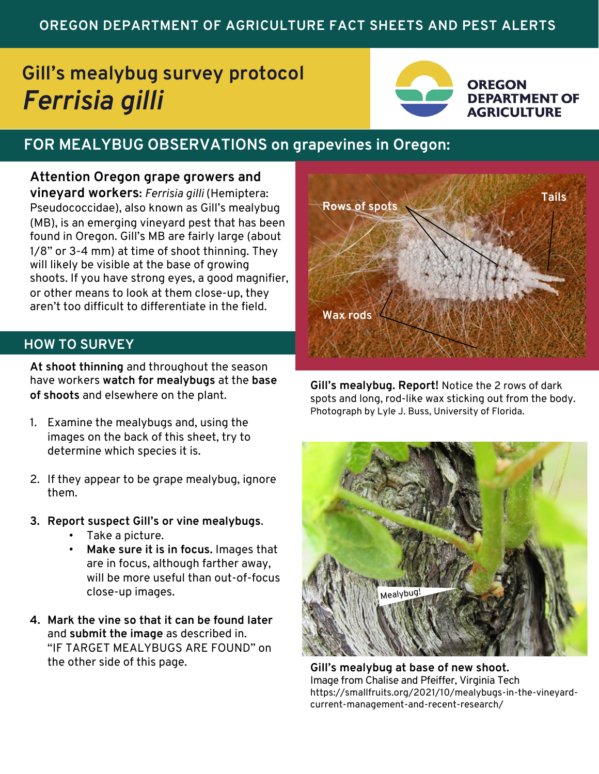## **OREGON DEPARTMENT OF AGRICULTURE FACT SHEETS AND PEST ALERTS**

# **Gill's mealybug survey protocol** *Ferrisia gilli*



**OREGON DEPARTMENT OF AGRICULTURE** 

# **FOR MEALYBUG OBSERVATIONS on grapevines in Oregon:**

**Attention Oregon grape growers and vineyard workers:** *Ferrisia gilli* (Hemiptera: Pseudococcidae), also known as Gill's mealybug (MB), is an emerging vineyard pest that has been found in Oregon. Gill's MB are fairly large (about 1/8" or 3-4 mm) at time of shoot thinning. They will likely be visible at the base of growing shoots. If you have strong eyes, a good magnifier, or other means to look at them close-up, they aren't too difficult to differentiate in the field.

### **HOW TO SURVEY**

**At shoot thinning** and throughout the season have workers **watch for mealybugs** at the **base of shoots** and elsewhere on the plant.

- 1. Examine the mealybugs and, using the images on the back of this sheet, try to determine which species it is.
- 2. If they appear to be grape mealybug, ignore them.
- **3. Report suspect Gill's or vine mealybugs**.
	- Take a picture.
	- **Make sure it is in focus.** Images that are in focus, although farther away, will be more useful than out-of-focus close-up images.
- **4. Mark the vine so that it can be found later**  and **submit the image** as described in. "IF TARGET MEALYBUGS ARE FOUND" on the other side of this page.



**Gill's mealybug. Report!** Notice the 2 rows of dark spots and long, rod-like wax sticking out from the body. Photograph by Lyle J. Buss, University of Florida.



**Gill's mealybug at base of new shoot.**  Image from Chalise and Pfeiffer, Virginia Tech https://smallfruits.org/2021/10/mealybugs-in-the-vineyardcurrent-management-and-recent-research/